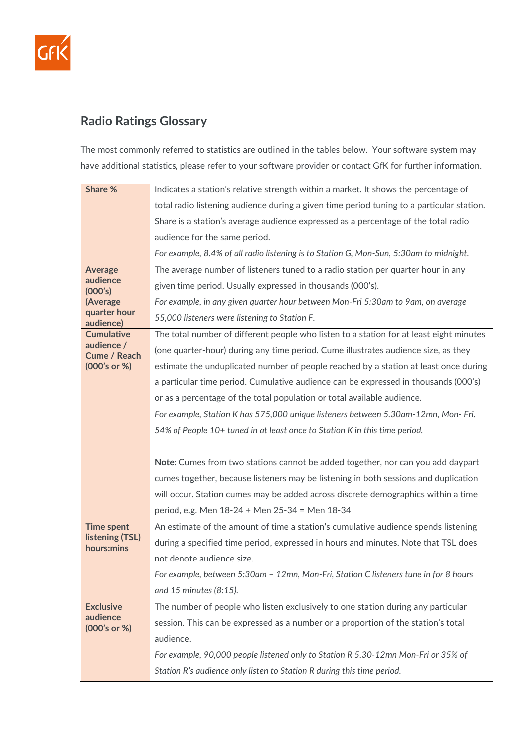

## **Radio Ratings Glossary**

The most commonly referred to statistics are outlined in the tables below. Your software system may have additional statistics, please refer to your software provider or contact GfK for further information.

| Share %                       | Indicates a station's relative strength within a market. It shows the percentage of       |
|-------------------------------|-------------------------------------------------------------------------------------------|
|                               | total radio listening audience during a given time period tuning to a particular station. |
|                               | Share is a station's average audience expressed as a percentage of the total radio        |
|                               | audience for the same period.                                                             |
|                               | For example, 8.4% of all radio listening is to Station G, Mon-Sun, 5:30am to midnight.    |
| <b>Average</b>                | The average number of listeners tuned to a radio station per quarter hour in any          |
| audience<br>(000's)           | given time period. Usually expressed in thousands (000's).                                |
| (Average                      | For example, in any given quarter hour between Mon-Fri 5:30am to 9am, on average          |
| quarter hour<br>audience)     | 55,000 listeners were listening to Station F.                                             |
| <b>Cumulative</b>             | The total number of different people who listen to a station for at least eight minutes   |
| audience /<br>Cume / Reach    | (one quarter-hour) during any time period. Cume illustrates audience size, as they        |
| (000's or %)                  | estimate the unduplicated number of people reached by a station at least once during      |
|                               | a particular time period. Cumulative audience can be expressed in thousands (000's)       |
|                               | or as a percentage of the total population or total available audience.                   |
|                               | For example, Station K has 575,000 unique listeners between 5.30am-12mn, Mon-Fri.         |
|                               | 54% of People 10+ tuned in at least once to Station K in this time period.                |
|                               |                                                                                           |
|                               | Note: Cumes from two stations cannot be added together, nor can you add daypart           |
|                               | cumes together, because listeners may be listening in both sessions and duplication       |
|                               | will occur. Station cumes may be added across discrete demographics within a time         |
|                               | period, e.g. Men 18-24 + Men 25-34 = Men 18-34                                            |
| <b>Time spent</b>             | An estimate of the amount of time a station's cumulative audience spends listening        |
| listening (TSL)<br>hours:mins | during a specified time period, expressed in hours and minutes. Note that TSL does        |
|                               | not denote audience size.                                                                 |
|                               | For example, between 5:30am - 12mn, Mon-Fri, Station C listeners tune in for 8 hours      |
|                               | and 15 minutes (8:15).                                                                    |
| <b>Exclusive</b>              | The number of people who listen exclusively to one station during any particular          |
| audience<br>(000's or %)      | session. This can be expressed as a number or a proportion of the station's total         |
|                               | audience.                                                                                 |
|                               | For example, 90,000 people listened only to Station R 5.30-12mn Mon-Fri or 35% of         |
|                               | Station R's audience only listen to Station R during this time period.                    |